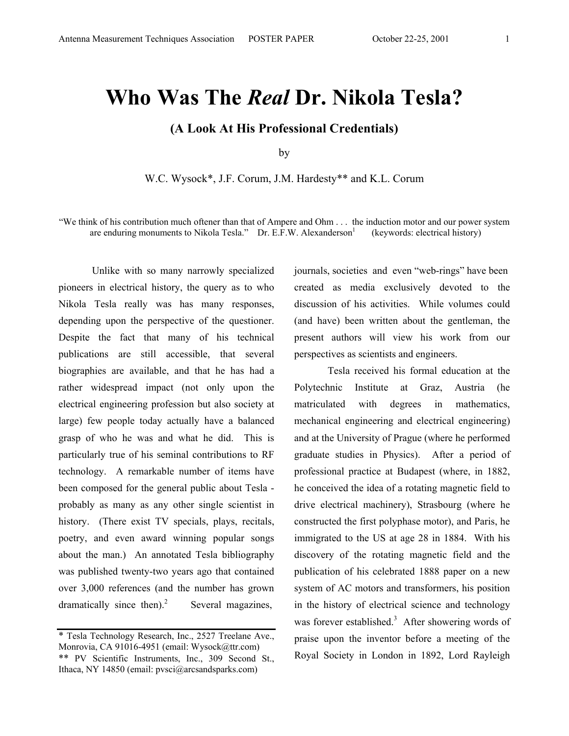## **Who Was The** *Real* **Dr. Nikola Tesla?**

**(A Look At His Professional Credentials)** 

by

W.C. Wysock\*, J.F. Corum, J.M. Hardesty\*\* and K.L. Corum

"We think of his contribution much oftener than that of Ampere and Ohm . . . the induction motor and our power system are enduring monuments to Nikola Tesla." Dr. E.F.W. Alexanderson $<sup>1</sup>$ </sup> (keywords: electrical history)

 Unlike with so many narrowly specialized pioneers in electrical history, the query as to who Nikola Tesla really was has many responses, depending upon the perspective of the questioner. Despite the fact that many of his technical publications are still accessible, that several biographies are available, and that he has had a rather widespread impact (not only upon the electrical engineering profession but also society at large) few people today actually have a balanced grasp of who he was and what he did. This is particularly true of his seminal contributions to RF technology. A remarkable number of items have been composed for the general public about Tesla probably as many as any other single scientist in history. (There exist TV specials, plays, recitals, poetry, and even award winning popular songs about the man.) An annotated Tesla bibliography was published twenty-two years ago that contained over 3,000 references (and the number has grown dramatically since then). $2$ Several magazines,

journals, societies and even "web-rings" have been created as media exclusively devoted to the discussion of his activities. While volumes could (and have) been written about the gentleman, the present authors will view his work from our perspectives as scientists and engineers.

 Tesla received his formal education at the Polytechnic Institute at Graz, Austria (he matriculated with degrees in mathematics, mechanical engineering and electrical engineering) and at the University of Prague (where he performed graduate studies in Physics). After a period of professional practice at Budapest (where, in 1882, he conceived the idea of a rotating magnetic field to drive electrical machinery), Strasbourg (where he constructed the first polyphase motor), and Paris, he immigrated to the US at age 28 in 1884. With his discovery of the rotating magnetic field and the publication of his celebrated 1888 paper on a new system of AC motors and transformers, his position in the history of electrical science and technology was forever established.<sup>3</sup> After showering words of praise upon the inventor before a meeting of the Royal Society in London in 1892, Lord Rayleigh

<sup>\*</sup> Tesla Technology Research, Inc., 2527 Treelane Ave., Monrovia, CA 91016-4951 (email: Wysock@ttr.com) \*\* PV Scientific Instruments, Inc., 309 Second St., Ithaca, NY 14850 (email: pvsci@arcsandsparks.com)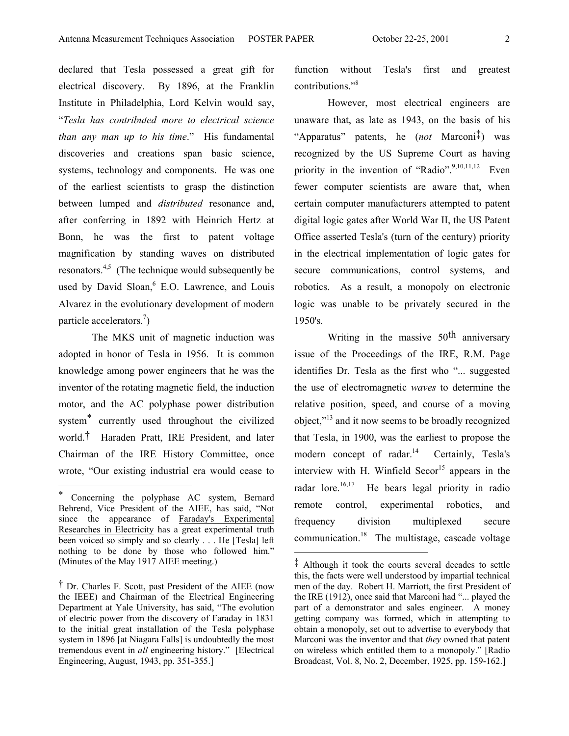declared that Tesla possessed a great gift for electrical discovery. By 1896, at the Franklin Institute in Philadelphia, Lord Kelvin would say, "*Tesla has contributed more to electrical science than any man up to his time*." His fundamental discoveries and creations span basic science, systems, technology and components. He was one of the earliest scientists to grasp the distinction between lumped and *distributed* resonance and, after conferring in 1892 with Heinrich Hertz at Bonn, he was the first to patent voltage magnification by standing waves on distributed resonators.<sup>4,5</sup> (The technique would subsequently be used by David Sloan,<sup>6</sup> E.O. Lawrence, and Louis Alvarez in the evolutionary development of modern particle accelerators.<sup>7</sup>)

 The MKS unit of magnetic induction was adopted in honor of Tesla in 1956. It is common knowledge among power engineers that he was the inventor of the rotating magnetic field, the induction motor, and the AC polyphase power distribution system\* currently used throughout the civilized world.† Haraden Pratt, IRE President, and later Chairman of the IRE History Committee, once wrote, "Our existing industrial era would cease to

 $\overline{\phantom{a}}$ 

function without Tesla's first and greatest contributions."<sup>8</sup>

However, most electrical engineers are unaware that, as late as 1943, on the basis of his "Apparatus" patents, he (*not* Marconi‡) was recognized by the US Supreme Court as having priority in the invention of "Radio". $9,10,11,12$  Even fewer computer scientists are aware that, when certain computer manufacturers attempted to patent digital logic gates after World War II, the US Patent Office asserted Tesla's (turn of the century) priority in the electrical implementation of logic gates for secure communications, control systems, and robotics. As a result, a monopoly on electronic logic was unable to be privately secured in the 1950's.

Writing in the massive 50<sup>th</sup> anniversary issue of the Proceedings of the IRE, R.M. Page identifies Dr. Tesla as the first who "... suggested the use of electromagnetic *waves* to determine the relative position, speed, and course of a moving object,"13 and it now seems to be broadly recognized that Tesla, in 1900, was the earliest to propose the modern concept of radar. $^{14}$  Certainly, Tesla's interview with H. Winfield  $Secor<sup>15</sup>$  appears in the radar lore.<sup>16,17</sup> He bears legal priority in radio remote control, experimental robotics, and frequency division multiplexed secure communication.18 The multistage, cascade voltage

l

Concerning the polyphase AC system, Bernard Behrend, Vice President of the AIEE, has said, "Not since the appearance of Faraday's Experimental Researches in Electricity has a great experimental truth been voiced so simply and so clearly . . . He [Tesla] left nothing to be done by those who followed him." (Minutes of the May 1917 AIEE meeting.)

<sup>†</sup> Dr. Charles F. Scott, past President of the AIEE (now the IEEE) and Chairman of the Electrical Engineering Department at Yale University, has said, "The evolution of electric power from the discovery of Faraday in 1831 to the initial great installation of the Tesla polyphase system in 1896 [at Niagara Falls] is undoubtedly the most tremendous event in *all* engineering history." [Electrical Engineering, August, 1943, pp. 351-355.]

<sup>‡</sup> Although it took the courts several decades to settle this, the facts were well understood by impartial technical men of the day. Robert H. Marriott, the first President of the IRE (1912), once said that Marconi had "... played the part of a demonstrator and sales engineer. A money getting company was formed, which in attempting to obtain a monopoly, set out to advertise to everybody that Marconi was the inventor and that *they* owned that patent on wireless which entitled them to a monopoly." [Radio Broadcast, Vol. 8, No. 2, December, 1925, pp. 159-162.]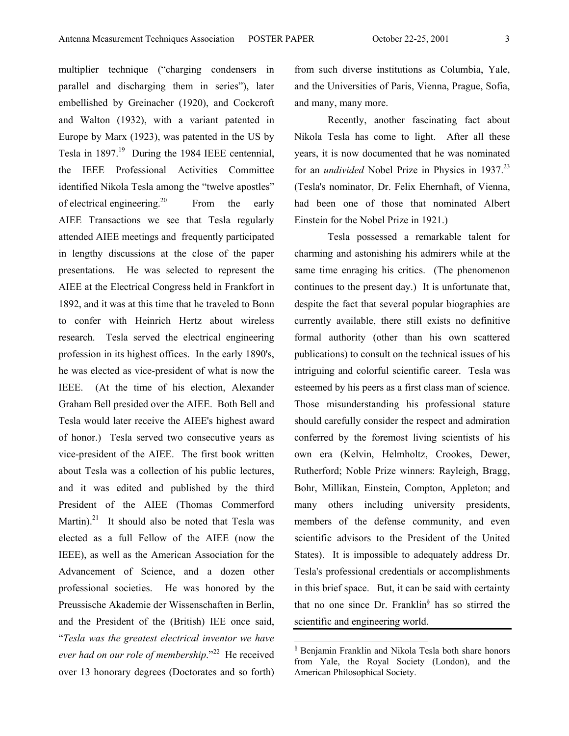multiplier technique ("charging condensers in parallel and discharging them in series"), later embellished by Greinacher (1920), and Cockcroft and Walton (1932), with a variant patented in Europe by Marx (1923), was patented in the US by Tesla in  $1897<sup>19</sup>$  During the 1984 IEEE centennial, the IEEE Professional Activities Committee identified Nikola Tesla among the "twelve apostles" of electrical engineering.<sup>20</sup> From the early AIEE Transactions we see that Tesla regularly attended AIEE meetings and frequently participated in lengthy discussions at the close of the paper presentations. He was selected to represent the AIEE at the Electrical Congress held in Frankfort in 1892, and it was at this time that he traveled to Bonn to confer with Heinrich Hertz about wireless research. Tesla served the electrical engineering profession in its highest offices. In the early 1890's, he was elected as vice-president of what is now the IEEE. (At the time of his election, Alexander Graham Bell presided over the AIEE. Both Bell and Tesla would later receive the AIEE's highest award of honor.) Tesla served two consecutive years as vice-president of the AIEE. The first book written about Tesla was a collection of his public lectures, and it was edited and published by the third President of the AIEE (Thomas Commerford Martin).<sup>21</sup> It should also be noted that Tesla was elected as a full Fellow of the AIEE (now the IEEE), as well as the American Association for the Advancement of Science, and a dozen other professional societies. He was honored by the Preussische Akademie der Wissenschaften in Berlin, and the President of the (British) IEE once said, "*Tesla was the greatest electrical inventor we have ever had on our role of membership*."22 He received over 13 honorary degrees (Doctorates and so forth)

from such diverse institutions as Columbia, Yale, and the Universities of Paris, Vienna, Prague, Sofia, and many, many more.

Recently, another fascinating fact about Nikola Tesla has come to light. After all these years, it is now documented that he was nominated for an *undivided* Nobel Prize in Physics in 1937.<sup>23</sup> (Tesla's nominator, Dr. Felix Ehernhaft, of Vienna, had been one of those that nominated Albert Einstein for the Nobel Prize in 1921.)

Tesla possessed a remarkable talent for charming and astonishing his admirers while at the same time enraging his critics. (The phenomenon continues to the present day.) It is unfortunate that, despite the fact that several popular biographies are currently available, there still exists no definitive formal authority (other than his own scattered publications) to consult on the technical issues of his intriguing and colorful scientific career. Tesla was esteemed by his peers as a first class man of science. Those misunderstanding his professional stature should carefully consider the respect and admiration conferred by the foremost living scientists of his own era (Kelvin, Helmholtz, Crookes, Dewer, Rutherford; Noble Prize winners: Rayleigh, Bragg, Bohr, Millikan, Einstein, Compton, Appleton; and many others including university presidents, members of the defense community, and even scientific advisors to the President of the United States). It is impossible to adequately address Dr. Tesla's professional credentials or accomplishments in this brief space. But, it can be said with certainty that no one since Dr. Franklin§ has so stirred the scientific and engineering world.

 § Benjamin Franklin and Nikola Tesla both share honors from Yale, the Royal Society (London), and the American Philosophical Society.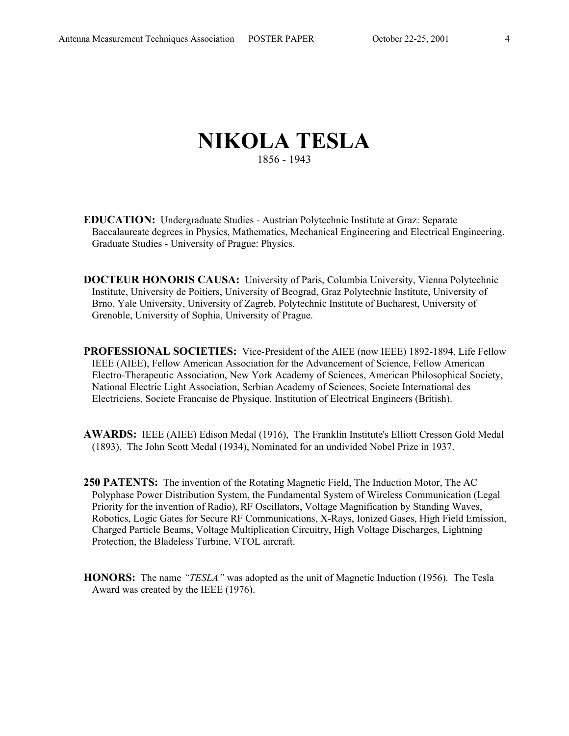## **NIKOLA TESLA** 1856 - 1943

- **EDUCATION:** Undergraduate Studies Austrian Polytechnic Institute at Graz: Separate Baccalaureate degrees in Physics, Mathematics, Mechanical Engineering and Electrical Engineering. Graduate Studies - University of Prague: Physics.
- **DOCTEUR HONORIS CAUSA:** University of Paris, Columbia University, Vienna Polytechnic Institute, University de Poitiers, University of Beograd, Graz Polytechnic Institute, University of Brno, Yale University, University of Zagreb, Polytechnic Institute of Bucharest, University of Grenoble, University of Sophia, University of Prague.
- **PROFESSIONAL SOCIETIES:** Vice-President of the AIEE (now IEEE) 1892-1894, Life Fellow IEEE (AIEE), Fellow American Association for the Advancement of Science, Fellow American Electro-Therapeutic Association, New York Academy of Sciences, American Philosophical Society, National Electric Light Association, Serbian Academy of Sciences, Societe International des Electriciens, Societe Francaise de Physique, Institution of Electrical Engineers (British).
- **AWARDS:** IEEE (AIEE) Edison Medal (1916), The Franklin Institute's Elliott Cresson Gold Medal (1893), The John Scott Medal (1934), Nominated for an undivided Nobel Prize in 1937.
- **250 PATENTS:** The invention of the Rotating Magnetic Field, The Induction Motor, The AC Polyphase Power Distribution System, the Fundamental System of Wireless Communication (Legal Priority for the invention of Radio), RF Oscillators, Voltage Magnification by Standing Waves, Robotics, Logic Gates for Secure RF Communications, X-Rays, Ionized Gases, High Field Emission, Charged Particle Beams, Voltage Multiplication Circuitry, High Voltage Discharges, Lightning Protection, the Bladeless Turbine, VTOL aircraft.
- **HONORS:** The name *"TESLA"* was adopted as the unit of Magnetic Induction (1956). The Tesla Award was created by the IEEE (1976).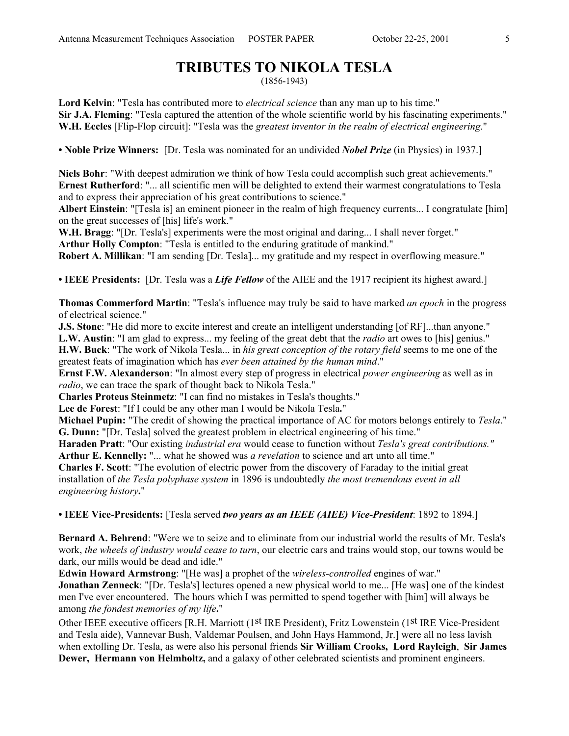## **TRIBUTES TO NIKOLA TESLA**

(1856-1943)

**Lord Kelvin**: "Tesla has contributed more to *electrical science* than any man up to his time." **Sir J.A. Fleming**: "Tesla captured the attention of the whole scientific world by his fascinating experiments." **W.H. Eccles** [Flip-Flop circuit]: "Tesla was the *greatest inventor in the realm of electrical engineering*."

**• Noble Prize Winners:** [Dr. Tesla was nominated for an undivided *Nobel Prize* (in Physics) in 1937.]

**Niels Bohr**: "With deepest admiration we think of how Tesla could accomplish such great achievements." **Ernest Rutherford**: "... all scientific men will be delighted to extend their warmest congratulations to Tesla and to express their appreciation of his great contributions to science."

**Albert Einstein**: "[Tesla is] an eminent pioneer in the realm of high frequency currents... I congratulate [him] on the great successes of [his] life's work."

**W.H. Bragg**: "[Dr. Tesla's] experiments were the most original and daring... I shall never forget." **Arthur Holly Compton**: "Tesla is entitled to the enduring gratitude of mankind."

**Robert A. Millikan**: "I am sending [Dr. Tesla]... my gratitude and my respect in overflowing measure."

**• IEEE Presidents:** [Dr. Tesla was a *Life Fellow* of the AIEE and the 1917 recipient its highest award.]

**Thomas Commerford Martin**: "Tesla's influence may truly be said to have marked *an epoch* in the progress of electrical science."

**J.S. Stone**: "He did more to excite interest and create an intelligent understanding [of RF]...than anyone." **L.W. Austin**: "I am glad to express... my feeling of the great debt that the *radio* art owes to [his] genius." **H.W. Buck**: "The work of Nikola Tesla... in *his great conception of the rotary field* seems to me one of the greatest feats of imagination which has *ever been attained by the human mind*."

**Ernst F.W. Alexanderson**: "In almost every step of progress in electrical *power engineering* as well as in *radio*, we can trace the spark of thought back to Nikola Tesla."

**Charles Proteus Steinmetz**: "I can find no mistakes in Tesla's thoughts."

**Lee de Forest**: "If I could be any other man I would be Nikola Tesla**.**"

**Michael Pupin:** "The credit of showing the practical importance of AC for motors belongs entirely to *Tesla*." **G. Dunn:** "[Dr. Tesla] solved the greatest problem in electrical engineering of his time."

**Haraden Pratt**: "Our existing *industrial era* would cease to function without *Tesla's great contributions."* **Arthur E. Kennelly:** "... what he showed was *a revelation* to science and art unto all time."

**Charles F. Scott**: "The evolution of electric power from the discovery of Faraday to the initial great installation of *the Tesla polyphase system* in 1896 is undoubtedly *the most tremendous event in all engineering history***.**"

**• IEEE Vice-Presidents:** [Tesla served *two years as an IEEE (AIEE) Vice-President*: 1892 to 1894.]

**Bernard A. Behrend**: "Were we to seize and to eliminate from our industrial world the results of Mr. Tesla's work, *the wheels of industry would cease to turn*, our electric cars and trains would stop, our towns would be dark, our mills would be dead and idle."

**Edwin Howard Armstrong**: "[He was] a prophet of the *wireless-controlled* engines of war."

**Jonathan Zenneck**: "[Dr. Tesla's] lectures opened a new physical world to me... [He was] one of the kindest men I've ever encountered. The hours which I was permitted to spend together with [him] will always be among *the fondest memories of my life***.**"

Other IEEE executive officers [R.H. Marriott (1st IRE President), Fritz Lowenstein (1st IRE Vice-President and Tesla aide), Vannevar Bush, Valdemar Poulsen, and John Hays Hammond, Jr.] were all no less lavish when extolling Dr. Tesla, as were also his personal friends **Sir William Crooks, Lord Rayleigh**, **Sir James Dewer, Hermann von Helmholtz,** and a galaxy of other celebrated scientists and prominent engineers.